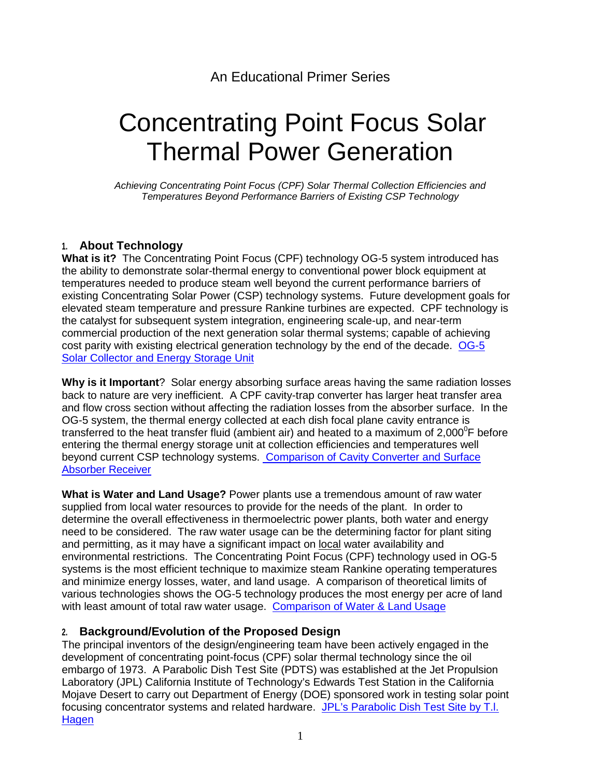# Concentrating Point Focus Solar Thermal Power Generation

*Achieving Concentrating Point Focus (CPF) Solar Thermal Collection Efficiencies and Temperatures Beyond Performance Barriers of Existing CSP Technology*

## **1. About Technology**

**What is it?** The Concentrating Point Focus (CPF) technology OG-5 system introduced has the ability to demonstrate solar-thermal energy to conventional power block equipment at temperatures needed to produce steam well beyond the current performance barriers of existing Concentrating Solar Power (CSP) technology systems. Future development goals for elevated steam temperature and pressure Rankine turbines are expected. CPF technology is the catalyst for subsequent system integration, engineering scale-up, and near-term commercial production of the next generation solar thermal systems; capable of achieving cost parity with existing electrical generation technology by the end of the decade. OG-5 [Solar Collector and Energy Storage Unit](http://www.goldenstateenergy.com/files/2014-files/About Technology.pdf)

**Why is it Important**? Solar energy absorbing surface areas having the same radiation losses back to nature are very inefficient. A CPF cavity-trap converter has larger heat transfer area and flow cross section without affecting the radiation losses from the absorber surface. In the OG-5 system, the thermal energy collected at each dish focal plane cavity entrance is transferred to the heat transfer fluid (ambient air) and heated to a maximum of 2,000<sup>°</sup>F before entering the thermal energy storage unit at collection efficiencies and temperatures well beyond current CSP technology systems. [Comparison of Cavity Converter and Surface](http://www.goldenstateenergy.com/files/2014-files/About Technology.pdf)  [Absorber Receiver](http://www.goldenstateenergy.com/files/2014-files/About Technology.pdf)

**What is Water and Land Usage?** Power plants use a tremendous amount of raw water supplied from local water resources to provide for the needs of the plant. In order to determine the overall effectiveness in thermoelectric power plants, both water and energy need to be considered. The raw water usage can be the determining factor for plant siting and permitting, as it may have a significant impact on local water availability and environmental restrictions. The Concentrating Point Focus (CPF) technology used in OG-5 systems is the most efficient technique to maximize steam Rankine operating temperatures and minimize energy losses, water, and land usage. A comparison of theoretical limits of various technologies shows the OG-5 technology produces the most energy per acre of land with least amount of total raw water usage. [Comparison of Water & Land Usage](http://www.goldenstateenergy.com/files/2014-files/Water and Land Use Comparison.pdf)

## **2. Background/Evolution of the Proposed Design**

The principal inventors of the design/engineering team have been actively engaged in the development of concentrating point-focus (CPF) solar thermal technology since the oil embargo of 1973. A Parabolic Dish Test Site (PDTS) was established at the Jet Propulsion Laboratory (JPL) California Institute of Technology's Edwards Test Station in the California Mojave Desert to carry out Department of Energy (DOE) sponsored work in testing solar point focusing concentrator systems and related hardware. [JPL's Parabolic Dish Test Site by T.l.](http://www.goldenstateenergy.com/files/2014-files/Hagen Proceedings 1-22-80.pdf)  **Hagen**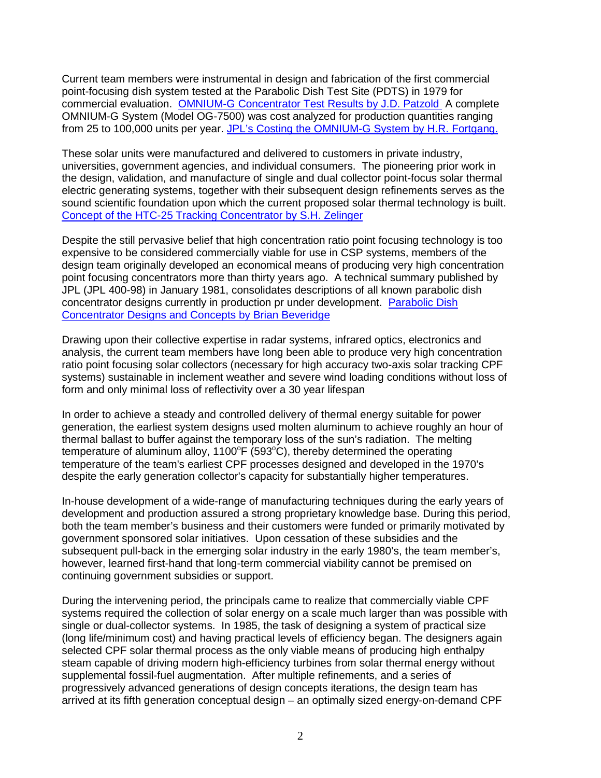Current team members were instrumental in design and fabrication of the first commercial point-focusing dish system tested at the Parabolic Dish Test Site (PDTS) in 1979 for commercial evaluation. [OMNIUM-G Concentrator Test Results by J.D. Patzold](http://www.goldenstateenergy.com/files/2014-files/Patzold Proceedings 1-22-80.pdf) A complete OMNIUM-G System (Model OG-7500) was cost analyzed for production quantities ranging from 25 to 100,000 units per year. [JPL's Costing the OMNIUM-G System by H.R. Fortgang.](http://www.goldenstateenergy.com/files/2014-files/Fortgang Proceedings 1-22-80.pdf)

These solar units were manufactured and delivered to customers in private industry, universities, government agencies, and individual consumers. The pioneering prior work in the design, validation, and manufacture of single and dual collector point-focus solar thermal electric generating systems, together with their subsequent design refinements serves as the sound scientific foundation upon which the current proposed solar thermal technology is built. [Concept of the HTC-25 Tracking Concentrator by S.H. Zelinger](http://www.goldenstateenergy.com/files/2014-files/Zelinger Proceedings 1-22-80.pdf)

Despite the still pervasive belief that high concentration ratio point focusing technology is too expensive to be considered commercially viable for use in CSP systems, members of the design team originally developed an economical means of producing very high concentration point focusing concentrators more than thirty years ago. A technical summary published by JPL (JPL 400-98) in January 1981, consolidates descriptions of all known parabolic dish concentrator designs currently in production pr under development. [Parabolic Dish](http://www.goldenstateenergy.com/files/2014-files/Beveridge Proceedings 1-22-80.pdf)  [Concentrator Designs and Concepts by Brian Beveridge](http://www.goldenstateenergy.com/files/2014-files/Beveridge Proceedings 1-22-80.pdf) 

Drawing upon their collective expertise in radar systems, infrared optics, electronics and analysis, the current team members have long been able to produce very high concentration ratio point focusing solar collectors (necessary for high accuracy two-axis solar tracking CPF systems) sustainable in inclement weather and severe wind loading conditions without loss of form and only minimal loss of reflectivity over a 30 year lifespan

In order to achieve a steady and controlled delivery of thermal energy suitable for power generation, the earliest system designs used molten aluminum to achieve roughly an hour of thermal ballast to buffer against the temporary loss of the sun's radiation. The melting temperature of aluminum alloy,  $1100^{\circ}$ F (593 $^{\circ}$ C), thereby determined the operating temperature of the team's earliest CPF processes designed and developed in the 1970's despite the early generation collector's capacity for substantially higher temperatures.

In-house development of a wide-range of manufacturing techniques during the early years of development and production assured a strong proprietary knowledge base. During this period, both the team member's business and their customers were funded or primarily motivated by government sponsored solar initiatives. Upon cessation of these subsidies and the subsequent pull-back in the emerging solar industry in the early 1980's, the team member's, however, learned first-hand that long-term commercial viability cannot be premised on continuing government subsidies or support.

During the intervening period, the principals came to realize that commercially viable CPF systems required the collection of solar energy on a scale much larger than was possible with single or dual-collector systems. In 1985, the task of designing a system of practical size (long life/minimum cost) and having practical levels of efficiency began. The designers again selected CPF solar thermal process as the only viable means of producing high enthalpy steam capable of driving modern high-efficiency turbines from solar thermal energy without supplemental fossil-fuel augmentation. After multiple refinements, and a series of progressively advanced generations of design concepts iterations, the design team has arrived at its fifth generation conceptual design – an optimally sized energy-on-demand CPF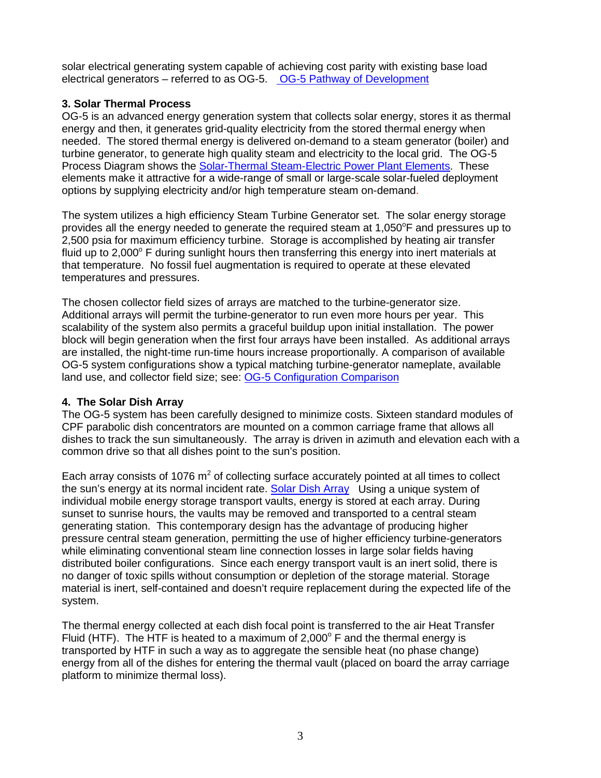solar electrical generating system capable of achieving cost parity with existing base load electrical generators – referred to as OG-5. [OG-5 Pathway of Development](http://www.goldenstateenergy.com/files/2014-files/Background.pdf) 

#### **3. Solar Thermal Process**

OG-5 is an advanced energy generation system that collects solar energy, stores it as thermal energy and then, it generates grid-quality electricity from the stored thermal energy when needed. The stored thermal energy is delivered on-demand to a steam generator (boiler) and turbine generator, to generate high quality steam and electricity to the local grid. The OG-5 Process Diagram shows the [Solar-Thermal Steam-Electric Power Plant Elements.](http://www.goldenstateenergy.com/files/2014-files/WebPopup_3 Solar Thermal Process.pdf) These elements make it attractive for a wide-range of small or large-scale solar-fueled deployment options by supplying electricity and/or high temperature steam on-demand.

The system utilizes a high efficiency Steam Turbine Generator set. The solar energy storage provides all the energy needed to generate the required steam at 1,050 $\textdegree$ F and pressures up to 2,500 psia for maximum efficiency turbine. Storage is accomplished by heating air transfer fluid up to  $2,000^{\circ}$  F during sunlight hours then transferring this energy into inert materials at that temperature. No fossil fuel augmentation is required to operate at these elevated temperatures and pressures.

The chosen collector field sizes of arrays are matched to the turbine-generator size. Additional arrays will permit the turbine-generator to run even more hours per year. This scalability of the system also permits a graceful buildup upon initial installation. The power block will begin generation when the first four arrays have been installed. As additional arrays are installed, the night-time run-time hours increase proportionally. A comparison of available OG-5 system configurations show a typical matching turbine-generator nameplate, available land use, and collector field size; see: [OG-5 Configuration Comparison](http://www.goldenstateenergy.com/files/2014-files/OG-5 Configuration Comparison.pdf)

#### **4. The Solar Dish Array**

The OG-5 system has been carefully designed to minimize costs. Sixteen standard modules of CPF parabolic dish concentrators are mounted on a common carriage frame that allows all dishes to track the sun simultaneously. The array is driven in azimuth and elevation each with a common drive so that all dishes point to the sun's position.

Each array consists of 1076  $m^2$  of collecting surface accurately pointed at all times to collect the sun's energy at its normal incident rate. [Solar Dish Array](http://www.goldenstateenergy.com/files/2014-files/Solar Dish Array.pdf) Using a unique system of individual mobile energy storage transport vaults, energy is stored at each array. During sunset to sunrise hours, the vaults may be removed and transported to a central steam generating station. This contemporary design has the advantage of producing higher pressure central steam generation, permitting the use of higher efficiency turbine-generators while eliminating conventional steam line connection losses in large solar fields having distributed boiler configurations. Since each energy transport vault is an inert solid, there is no danger of toxic spills without consumption or depletion of the storage material. Storage material is inert, self-contained and doesn't require replacement during the expected life of the system.

The thermal energy collected at each dish focal point is transferred to the air Heat Transfer Fluid (HTF). The HTF is heated to a maximum of  $2,000^{\circ}$  F and the thermal energy is transported by HTF in such a way as to aggregate the sensible heat (no phase change) energy from all of the dishes for entering the thermal vault (placed on board the array carriage platform to minimize thermal loss).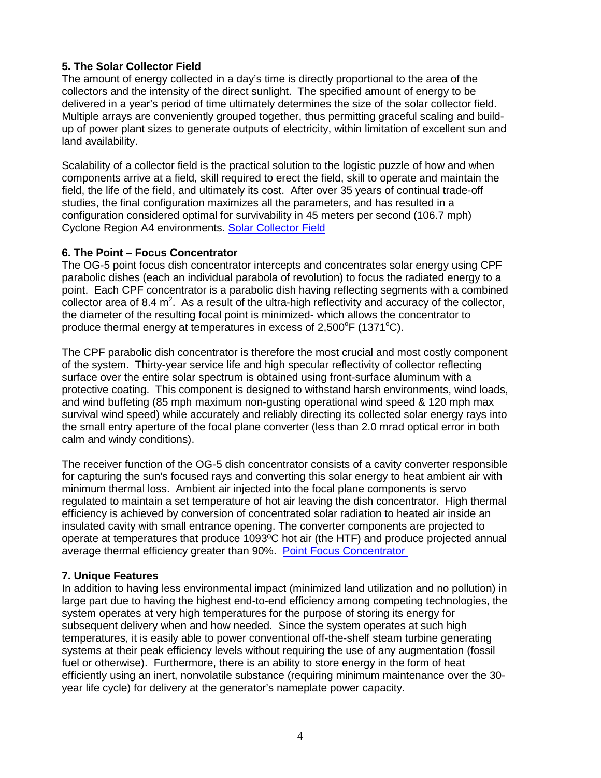### **5. The Solar Collector Field**

The amount of energy collected in a day's time is directly proportional to the area of the collectors and the intensity of the direct sunlight. The specified amount of energy to be delivered in a year's period of time ultimately determines the size of the solar collector field. Multiple arrays are conveniently grouped together, thus permitting graceful scaling and buildup of power plant sizes to generate outputs of electricity, within limitation of excellent sun and land availability.

Scalability of a collector field is the practical solution to the logistic puzzle of how and when components arrive at a field, skill required to erect the field, skill to operate and maintain the field, the life of the field, and ultimately its cost. After over 35 years of continual trade-off studies, the final configuration maximizes all the parameters, and has resulted in a configuration considered optimal for survivability in 45 meters per second (106.7 mph) Cyclone Region A4 environments. [Solar Collector Field](http://www.goldenstateenergy.com/files/2014-files/Solar Collector Field.pdf)

#### **6. The Point – Focus Concentrator**

The OG-5 point focus dish concentrator intercepts and concentrates solar energy using CPF parabolic dishes (each an individual parabola of revolution) to focus the radiated energy to a point. Each CPF concentrator is a parabolic dish having reflecting segments with a combined collector area of 8.4  $m^2$ . As a result of the ultra-high reflectivity and accuracy of the collector, the diameter of the resulting focal point is minimized- which allows the concentrator to produce thermal energy at temperatures in excess of 2,500 $\mathrm{^oF}$  (1371 $\mathrm{^oC}$ ).

The CPF parabolic dish concentrator is therefore the most crucial and most costly component of the system. Thirty-year service life and high specular reflectivity of collector reflecting surface over the entire solar spectrum is obtained using front-surface aluminum with a protective coating. This component is designed to withstand harsh environments, wind loads, and wind buffeting (85 mph maximum non-gusting operational wind speed & 120 mph max survival wind speed) while accurately and reliably directing its collected solar energy rays into the small entry aperture of the focal plane converter (less than 2.0 mrad optical error in both calm and windy conditions).

The receiver function of the OG-5 dish concentrator consists of a cavity converter responsible for capturing the sun's focused rays and converting this solar energy to heat ambient air with minimum thermal loss. Ambient air injected into the focal plane components is servo regulated to maintain a set temperature of hot air leaving the dish concentrator. High thermal efficiency is achieved by conversion of concentrated solar radiation to heated air inside an insulated cavity with small entrance opening. The converter components are projected to operate at temperatures that produce 1093ºC hot air (the HTF) and produce projected annual average thermal efficiency greater than 90%. [Point Focus Concentrator](http://www.goldenstateenergy.com/files/2014-files/Point Focus Concentrator.pdf) 

#### **7. Unique Features**

In addition to having less environmental impact (minimized land utilization and no pollution) in large part due to having the highest end-to-end efficiency among competing technologies, the system operates at very high temperatures for the purpose of storing its energy for subsequent delivery when and how needed. Since the system operates at such high temperatures, it is easily able to power conventional off-the-shelf steam turbine generating systems at their peak efficiency levels without requiring the use of any augmentation (fossil fuel or otherwise). Furthermore, there is an ability to store energy in the form of heat efficiently using an inert, nonvolatile substance (requiring minimum maintenance over the 30 year life cycle) for delivery at the generator's nameplate power capacity.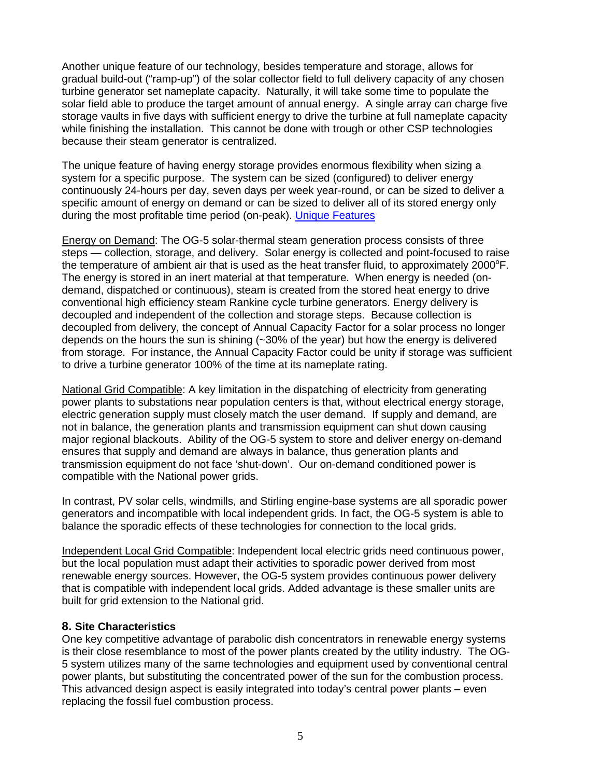Another unique feature of our technology, besides temperature and storage, allows for gradual build-out ("ramp-up") of the solar collector field to full delivery capacity of any chosen turbine generator set nameplate capacity. Naturally, it will take some time to populate the solar field able to produce the target amount of annual energy. A single array can charge five storage vaults in five days with sufficient energy to drive the turbine at full nameplate capacity while finishing the installation. This cannot be done with trough or other CSP technologies because their steam generator is centralized.

The unique feature of having energy storage provides enormous flexibility when sizing a system for a specific purpose. The system can be sized (configured) to deliver energy continuously 24-hours per day, seven days per week year-round, or can be sized to deliver a specific amount of energy on demand or can be sized to deliver all of its stored energy only during the most profitable time period (on-peak). [Unique Features](http://www.goldenstateenergy.com/files/2014-files/Unique Features.pdf) 

Energy on Demand: The OG-5 solar-thermal steam generation process consists of three steps — collection, storage, and delivery. Solar energy is collected and point-focused to raise the temperature of ambient air that is used as the heat transfer fluid, to approximately 2000 $\degree$ F. The energy is stored in an inert material at that temperature. When energy is needed (ondemand, dispatched or continuous), steam is created from the stored heat energy to drive conventional high efficiency steam Rankine cycle turbine generators. Energy delivery is decoupled and independent of the collection and storage steps. Because collection is decoupled from delivery, the concept of Annual Capacity Factor for a solar process no longer depends on the hours the sun is shining (~30% of the year) but how the energy is delivered from storage. For instance, the Annual Capacity Factor could be unity if storage was sufficient to drive a turbine generator 100% of the time at its nameplate rating.

National Grid Compatible: A key limitation in the dispatching of electricity from generating power plants to substations near population centers is that, without electrical energy storage, electric generation supply must closely match the user demand. If supply and demand, are not in balance, the generation plants and transmission equipment can shut down causing major regional blackouts. Ability of the OG-5 system to store and deliver energy on-demand ensures that supply and demand are always in balance, thus generation plants and transmission equipment do not face 'shut-down'. Our on-demand conditioned power is compatible with the National power grids.

In contrast, PV solar cells, windmills, and Stirling engine-base systems are all sporadic power generators and incompatible with local independent grids. In fact, the OG-5 system is able to balance the sporadic effects of these technologies for connection to the local grids.

Independent Local Grid Compatible: Independent local electric grids need continuous power, but the local population must adapt their activities to sporadic power derived from most renewable energy sources. However, the OG-5 system provides continuous power delivery that is compatible with independent local grids. Added advantage is these smaller units are built for grid extension to the National grid.

#### **8. Site Characteristics**

One key competitive advantage of parabolic dish concentrators in renewable energy systems is their close resemblance to most of the power plants created by the utility industry. The OG-5 system utilizes many of the same technologies and equipment used by conventional central power plants, but substituting the concentrated power of the sun for the combustion process. This advanced design aspect is easily integrated into today's central power plants – even replacing the fossil fuel combustion process.